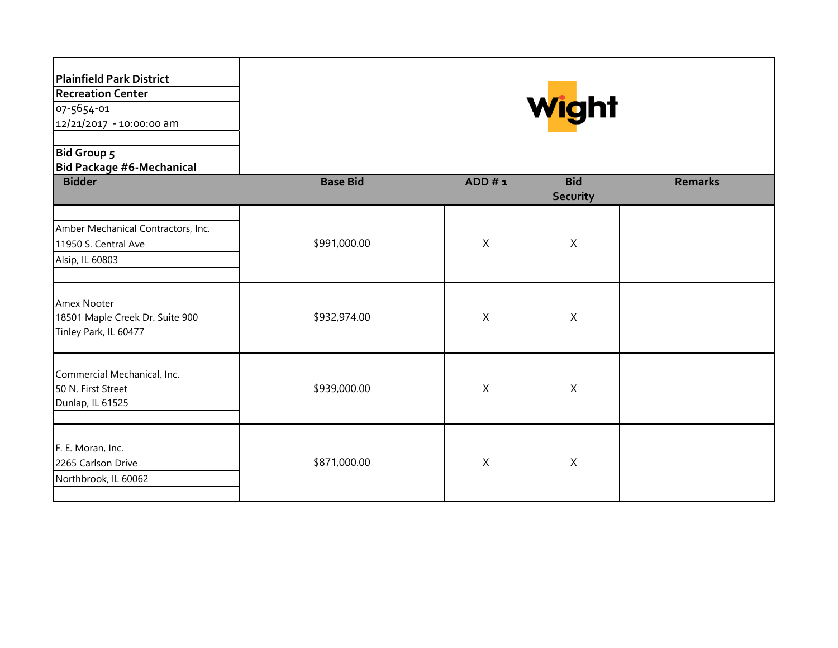| Plainfield Park District<br><b>Recreation Center</b><br>07-5654-01<br>12/21/2017 - 10:00:00 am<br><b>Bid Group 5</b><br><b>Bid Package #6-Mechanical</b> |                 | Wight        |                               |                |
|----------------------------------------------------------------------------------------------------------------------------------------------------------|-----------------|--------------|-------------------------------|----------------|
| <b>Bidder</b>                                                                                                                                            | <b>Base Bid</b> | ADD#1        | <b>Bid</b><br><b>Security</b> | <b>Remarks</b> |
| Amber Mechanical Contractors, Inc.<br>11950 S. Central Ave<br>Alsip, IL 60803                                                                            | \$991,000.00    | X            | X                             |                |
| Amex Nooter<br>18501 Maple Creek Dr. Suite 900<br>Tinley Park, IL 60477                                                                                  | \$932,974.00    | X            | Χ                             |                |
| Commercial Mechanical, Inc.<br>50 N. First Street<br>Dunlap, IL 61525                                                                                    | \$939,000.00    | X            | $\sf X$                       |                |
| F. E. Moran, Inc.<br>2265 Carlson Drive<br>Northbrook, IL 60062                                                                                          | \$871,000.00    | $\mathsf{X}$ | $\mathsf{X}$                  |                |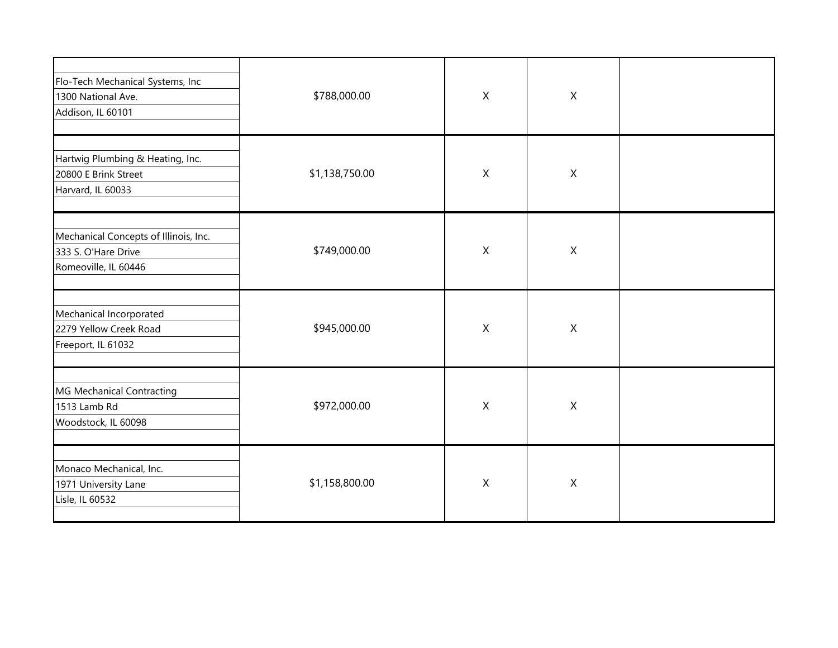| Flo-Tech Mechanical Systems, Inc<br>1300 National Ave.<br>Addison, IL 60101          | \$788,000.00   | $\mathsf X$               | $\boldsymbol{X}$          |  |
|--------------------------------------------------------------------------------------|----------------|---------------------------|---------------------------|--|
| Hartwig Plumbing & Heating, Inc.<br>20800 E Brink Street<br>Harvard, IL 60033        | \$1,138,750.00 | $\mathsf{X}$              | $\boldsymbol{X}$          |  |
| Mechanical Concepts of Illinois, Inc.<br>333 S. O'Hare Drive<br>Romeoville, IL 60446 | \$749,000.00   | $\mathsf{X}$              | $\boldsymbol{\mathsf{X}}$ |  |
| Mechanical Incorporated<br>2279 Yellow Creek Road<br>Freeport, IL 61032              | \$945,000.00   | $\mathsf X$               | $\boldsymbol{\mathsf{X}}$ |  |
| MG Mechanical Contracting<br>1513 Lamb Rd<br>Woodstock, IL 60098                     | \$972,000.00   | $\boldsymbol{\mathsf{X}}$ | $\boldsymbol{X}$          |  |
| Monaco Mechanical, Inc.<br>1971 University Lane<br>Lisle, IL 60532                   | \$1,158,800.00 | $\mathsf{X}$              | $\boldsymbol{\mathsf{X}}$ |  |